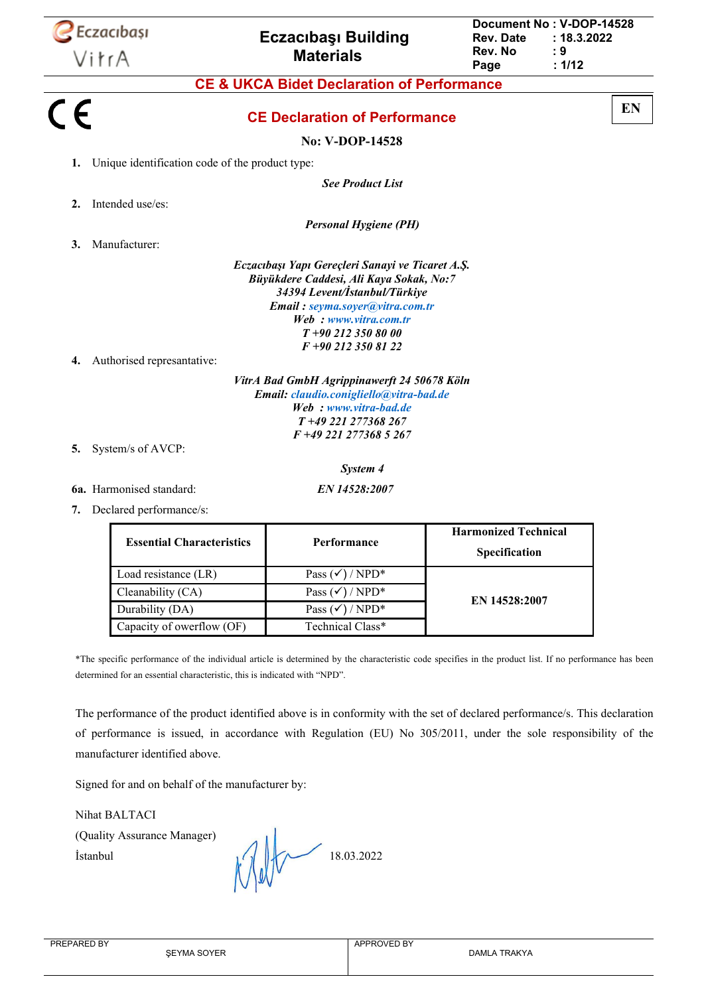|    | <b>Eczacibași</b><br>VitrA                      | <b>Eczacibasi Building</b><br><b>Materials</b>                                                                                                                                                                                      | Document No: V-DOP-14528<br>Rev. Date<br>Rev. No<br>Page | : 18.3.2022<br>: 9<br>: 1/12 |    |
|----|-------------------------------------------------|-------------------------------------------------------------------------------------------------------------------------------------------------------------------------------------------------------------------------------------|----------------------------------------------------------|------------------------------|----|
|    |                                                 | <b>CE &amp; UKCA Bidet Declaration of Performance</b>                                                                                                                                                                               |                                                          |                              |    |
| CE |                                                 | <b>CE Declaration of Performance</b>                                                                                                                                                                                                |                                                          |                              | EN |
|    |                                                 | <b>No: V-DOP-14528</b>                                                                                                                                                                                                              |                                                          |                              |    |
| 1. | Unique identification code of the product type: |                                                                                                                                                                                                                                     |                                                          |                              |    |
|    |                                                 | <b>See Product List</b>                                                                                                                                                                                                             |                                                          |                              |    |
| 2. | Intended use/es:                                |                                                                                                                                                                                                                                     |                                                          |                              |    |
|    |                                                 | <b>Personal Hygiene (PH)</b>                                                                                                                                                                                                        |                                                          |                              |    |
| 3. | Manufacturer:                                   |                                                                                                                                                                                                                                     |                                                          |                              |    |
|    |                                                 | Eczacıbaşı Yapı Gereçleri Sanayi ve Ticaret A.Ş.<br>Büyükdere Caddesi, Ali Kaya Sokak, No:7<br>34394 Levent/İstanbul/Türkiye<br>Email: seyma.soyer@vitra.com.tr<br>Web: www.vitra.com.tr<br>$T+902123508000$<br>F +90 212 350 81 22 |                                                          |                              |    |
| 4. | Authorised represantative:                      |                                                                                                                                                                                                                                     |                                                          |                              |    |
| 5. | System/s of AVCP:                               | VitrA Bad GmbH Agrippinawerft 24 50678 Köln<br>Email: claudio.conigliello@vitra-bad.de<br>Web: www.vitra-bad.de<br>T+49 221 277368 267<br>$F+492212773685267$                                                                       |                                                          |                              |    |

*System 4*

**6a.** Harmonised standard: *EN 14528:2007*

**7.** Declared performance/s:

| <b>Essential Characteristics</b> | <b>Performance</b>         | <b>Harmonized Technical</b><br>Specification |
|----------------------------------|----------------------------|----------------------------------------------|
| Load resistance (LR)             | Pass $(\checkmark)$ / NPD* |                                              |
| Cleanability (CA)                | Pass $(\checkmark)$ / NPD* | EN 14528:2007                                |
| Durability (DA)                  | Pass $(\checkmark)$ / NPD* |                                              |
| Capacity of owerflow (OF)        | Technical Class*           |                                              |

\*The specific performance of the individual article is determined by the characteristic code specifies in the product list. If no performance has been determined for an essential characteristic, this is indicated with "NPD".

The performance of the product identified above is in conformity with the set of declared performance/s. This declaration of performance is issued, in accordance with Regulation (EU) No 305/2011, under the sole responsibility of the manufacturer identified above.

Signed for and on behalf of the manufacturer by:

Nihat BALTACI (Quality Assurance Manager)

Istanbul  $\| \cdot \| \cdot \|$  18.03.2022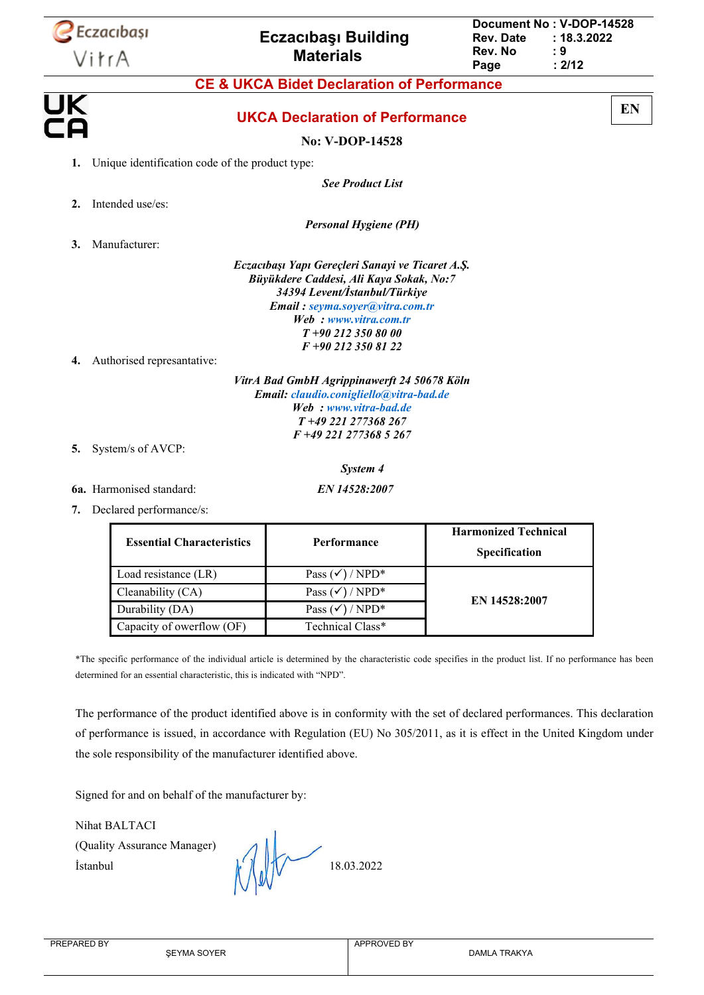|                  | <b>Eczacibași</b><br>VitrA                      | <b>Eczacibasi Building</b><br><b>Materials</b>                                                                                                                                                                                     | Document No: V-DOP-14528<br><b>Rev. Date</b><br>Rev. No<br>Page | : 18.3.2022<br>: 9<br>: 2/12 |    |
|------------------|-------------------------------------------------|------------------------------------------------------------------------------------------------------------------------------------------------------------------------------------------------------------------------------------|-----------------------------------------------------------------|------------------------------|----|
|                  |                                                 | <b>CE &amp; UKCA Bidet Declaration of Performance</b>                                                                                                                                                                              |                                                                 |                              |    |
| UK<br>CA         |                                                 | <b>UKCA Declaration of Performance</b>                                                                                                                                                                                             |                                                                 |                              | EN |
|                  |                                                 | <b>No: V-DOP-14528</b>                                                                                                                                                                                                             |                                                                 |                              |    |
| 1.               | Unique identification code of the product type: |                                                                                                                                                                                                                                    |                                                                 |                              |    |
|                  |                                                 | <b>See Product List</b>                                                                                                                                                                                                            |                                                                 |                              |    |
| $\overline{2}$ . | Intended use/es:                                |                                                                                                                                                                                                                                    |                                                                 |                              |    |
|                  |                                                 | <b>Personal Hygiene (PH)</b>                                                                                                                                                                                                       |                                                                 |                              |    |
| 3.               | Manufacturer:                                   |                                                                                                                                                                                                                                    |                                                                 |                              |    |
|                  |                                                 | Eczacıbaşı Yapı Gereçleri Sanayi ve Ticaret A.Ş.<br>Büyükdere Caddesi, Ali Kaya Sokak, No:7<br>34394 Levent/İstanbul/Türkiye<br>Email: seyma.soyer@vitra.com.tr<br>Web: www.vitra.com.tr<br>$T+902123508000$<br>$F + 902123508122$ |                                                                 |                              |    |
| 4.               | Authorised represantative:                      |                                                                                                                                                                                                                                    |                                                                 |                              |    |
|                  |                                                 | VitrA Bad GmbH Agrippinawerft 24 50678 Köln<br>Email: claudio.conigliello@vitra-bad.de<br>Web: www.vitra-bad.de<br>T+49 221 277368 267<br>$F+49$ 221 277368 5 267                                                                  |                                                                 |                              |    |

**5.** System/s of AVCP:

*System 4*

**6a.** Harmonised standard: *EN 14528:2007*

**7.** Declared performance/s:

| <b>Essential Characteristics</b> | Performance                | <b>Harmonized Technical</b><br>Specification |
|----------------------------------|----------------------------|----------------------------------------------|
| Load resistance (LR)             | Pass $(\checkmark)$ / NPD* |                                              |
| Cleanability (CA)                | Pass $(\checkmark)$ / NPD* | EN 14528:2007                                |
| Durability (DA)                  | Pass $(\checkmark)$ / NPD* |                                              |
| Capacity of owerflow (OF)        | Technical Class*           |                                              |

\*The specific performance of the individual article is determined by the characteristic code specifies in the product list. If no performance has been determined for an essential characteristic, this is indicated with "NPD".

The performance of the product identified above is in conformity with the set of declared performances. This declaration of performance is issued, in accordance with Regulation (EU) No 305/2011, as it is effect in the United Kingdom under the sole responsibility of the manufacturer identified above.

Signed for and on behalf of the manufacturer by:

Nihat BALTACI

(Quality Assurance Manager)

Istanbul  $\int_0^{\infty}$   $\int$   $\int$   $\int$   $\int$   $\int$  18.03.2022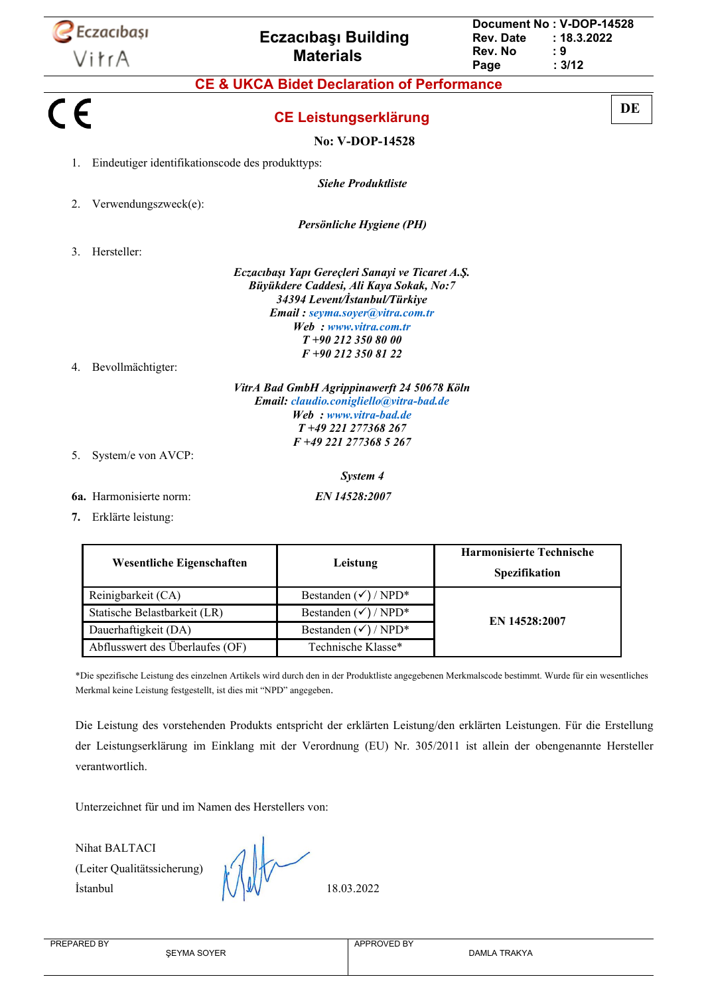|         | Eczacıbaşı<br>VitrA                              | <b>Eczacibasi Building</b><br><b>Materials</b>                                                                                                                                  | <b>Rev. Date</b><br>Rev. No<br>Page              | Document No: V-DOP-14528<br>: 18.3.2022<br>: 9<br>: 3/12 |
|---------|--------------------------------------------------|---------------------------------------------------------------------------------------------------------------------------------------------------------------------------------|--------------------------------------------------|----------------------------------------------------------|
|         |                                                  | <b>CE &amp; UKCA Bidet Declaration of Performance</b>                                                                                                                           |                                                  |                                                          |
| $C \in$ |                                                  | <b>CE Leistungserklärung</b>                                                                                                                                                    |                                                  | DE                                                       |
|         |                                                  |                                                                                                                                                                                 |                                                  |                                                          |
|         |                                                  | <b>No: V-DOP-14528</b>                                                                                                                                                          |                                                  |                                                          |
| 1.      | Eindeutiger identifikationscode des produkttyps: |                                                                                                                                                                                 |                                                  |                                                          |
|         |                                                  | <b>Siehe Produktliste</b>                                                                                                                                                       |                                                  |                                                          |
| 2.      | Verwendungszweck(e):                             |                                                                                                                                                                                 |                                                  |                                                          |
|         |                                                  | Persönliche Hygiene (PH)                                                                                                                                                        |                                                  |                                                          |
| 3.      | Hersteller:                                      |                                                                                                                                                                                 |                                                  |                                                          |
| 4.      | Bevollmächtigter:                                | Büyükdere Caddesi, Ali Kaya Sokak, No:7<br>34394 Levent/İstanbul/Türkiye<br>Email: seyma.soyer@vitra.com.tr<br>Web: www.vitra.com.tr<br>$T+902123508000$<br>F +90 212 350 81 22 |                                                  |                                                          |
|         |                                                  | VitrA Bad GmbH Agrippinawerft 24 50678 Köln<br>Email: claudio.conigliello@vitra-bad.de<br>Web: www.vitra-bad.de<br>T+49 221 277368 267                                          |                                                  |                                                          |
| 5.      | System/e von AVCP:                               | F +49 221 277368 5 267                                                                                                                                                          |                                                  |                                                          |
|         |                                                  | System 4                                                                                                                                                                        |                                                  |                                                          |
|         | <b>6a.</b> Harmonisierte norm:                   | EN 14528:2007                                                                                                                                                                   |                                                  |                                                          |
|         | 7. Erklärte leistung:                            |                                                                                                                                                                                 |                                                  |                                                          |
|         | Wesentliche Eigenschaften                        | Leistung                                                                                                                                                                        | <b>Harmonisierte Technische</b><br>Spezifikation |                                                          |
|         | Reinigbarkeit (CA)                               | Bestanden $(\checkmark)$ / NPD*                                                                                                                                                 |                                                  |                                                          |
|         | Statische Belastbarkeit (LR)                     | Bestanden (√) / NPD*                                                                                                                                                            |                                                  |                                                          |

\*Die spezifische Leistung des einzelnen Artikels wird durch den in der Produktliste angegebenen Merkmalscode bestimmt. Wurde für ein wesentliches Merkmal keine Leistung festgestellt, ist dies mit "NPD" angegeben.

Die Leistung des vorstehenden Produkts entspricht der erklärten Leistung/den erklärten Leistungen. Für die Erstellung der Leistungserklärung im Einklang mit der Verordnung (EU) Nr. 305/2011 ist allein der obengenannte Hersteller verantwortlich.

Unterzeichnet für und im Namen des Herstellers von:

Nihat BALTACI (Leiter Qualitätssicherung)  $\bigwedge \bigwedge \bigvee \bigvee \bigvee$  18.03.2022

Dauerhaftigkeit (DA) Bestanden ( $\checkmark$ ) / NPD\* Abflusswert des Überlaufes (OF) Technische Klasse\*

**EN 14528:2007**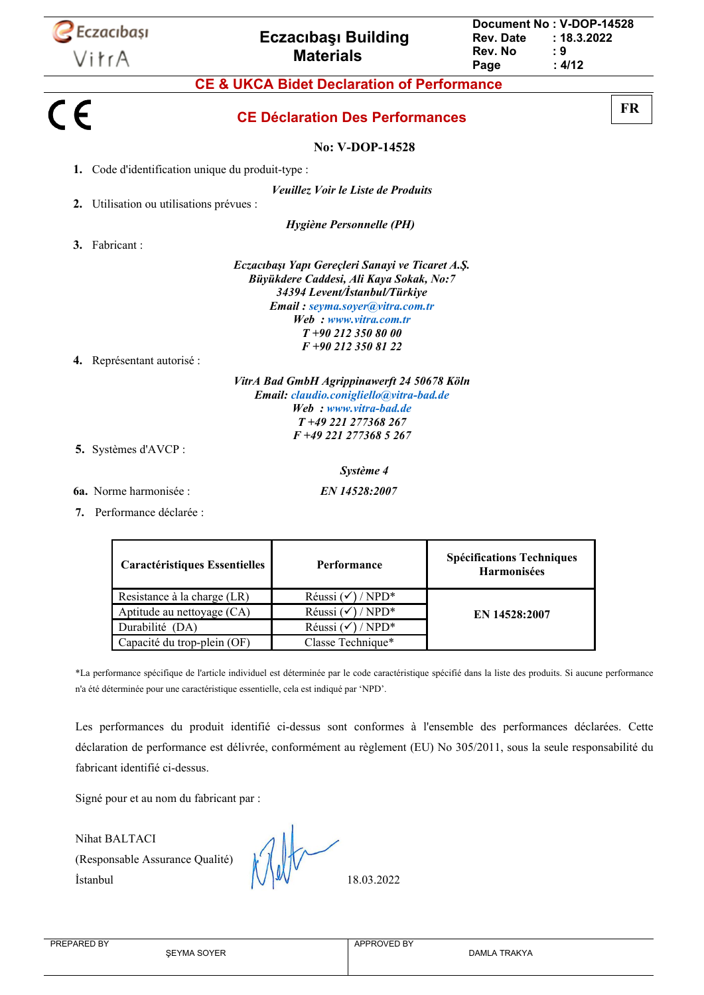

**7.** Performance déclarée :

| <b>Caractéristiques Essentielles</b> | Performance                  | <b>Spécifications Techniques</b><br><b>Harmonisées</b> |
|--------------------------------------|------------------------------|--------------------------------------------------------|
| Resistance à la charge (LR)          | Réussi $(\checkmark)$ / NPD* |                                                        |
| Aptitude au nettoyage (CA)           | Réussi $(\checkmark)$ / NPD* | EN 14528:2007                                          |
| Durabilité (DA)                      | Réussi $(\checkmark)$ / NPD* |                                                        |
| Capacité du trop-plein (OF)          | Classe Technique*            |                                                        |

\*La performance spécifique de l'article individuel est déterminée par le code caractéristique spécifié dans la liste des produits. Si aucune performance n'a été déterminée pour une caractéristique essentielle, cela est indiqué par 'NPD'.

Les performances du produit identifié ci-dessus sont conformes à l'ensemble des performances déclarées. Cette déclaration de performance est délivrée, conformément au règlement (EU) No 305/2011, sous la seule responsabilité du fabricant identifié ci-dessus.

Signé pour et au nom du fabricant par :

Nihat BALTACI (Responsable Assurance Qualité)  $\lvert \bigvee \rvert \lvert \bigvee \rvert \lvert \bigvee \rvert \lvert \bigvee \rvert \lvert \lvert \bigvee \rvert \lvert \lvert \bigvee \rvert \lvert \lvert \bigvee \rvert \lvert \lvert \bigvee \rvert \lvert \lvert \bigvee \rvert \lvert \bigvee \rvert \lvert \bigvee \rvert \lvert \bigvee \rvert \lvert \bigvee \rvert \lvert \bigvee \rvert \lvert \bigvee \rvert \lvert \bigvee \rvert \lvert \bigvee \rvert \lvert \bigvee \rvert \lvert \bigvee \rvert \lvert \bigvee \rvert \lvert \big$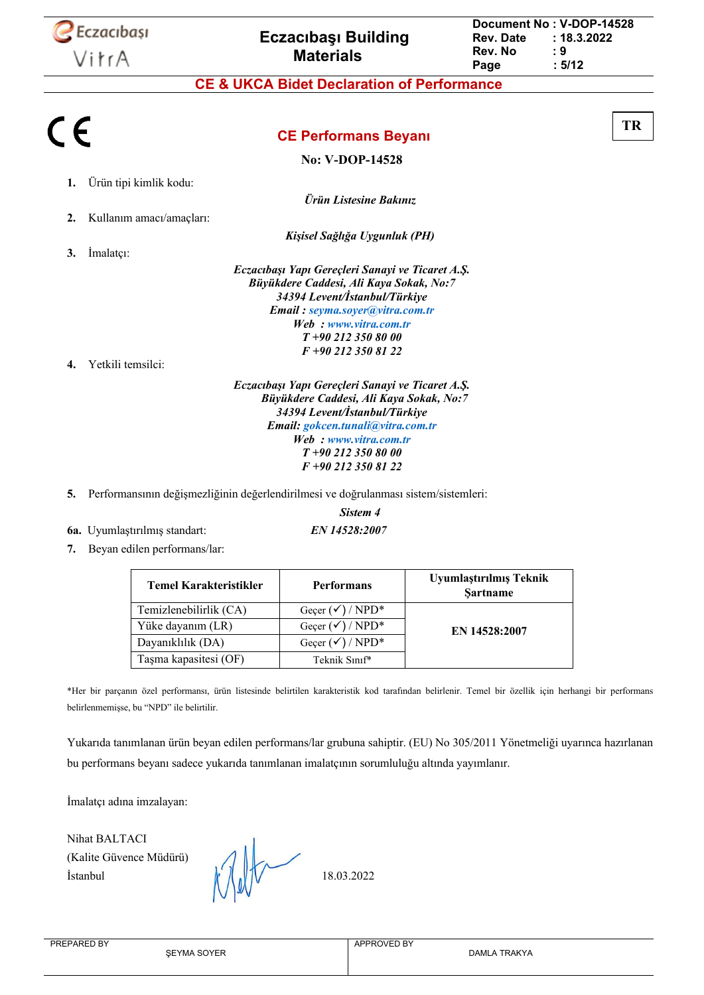

#### **CE & UKCA Bidet Declaration of Performance**

| CE |                          |                                                  | TR |
|----|--------------------------|--------------------------------------------------|----|
|    |                          | <b>CE Performans Beyanı</b>                      |    |
|    |                          | <b>No: V-DOP-14528</b>                           |    |
| 1. | Ürün tipi kimlik kodu:   |                                                  |    |
|    |                          | Ürün Listesine Bakınız                           |    |
| 2. | Kullanım amacı/amaçları: |                                                  |    |
|    |                          | Kişisel Sağlığa Uygunluk (PH)                    |    |
| 3. | Imalatçı:                |                                                  |    |
|    |                          | Eczacıbaşı Yapı Gereçleri Sanayi ve Ticaret A.Ş. |    |
|    |                          | Büyükdere Caddesi, Ali Kaya Sokak, No:7          |    |
|    |                          | 34394 Levent/İstanbul/Türkiye                    |    |
|    |                          | Email: seyma.soyer@vitra.com.tr                  |    |
|    |                          | Web: www.vitra.com.tr                            |    |
|    |                          | $T+902123508000$                                 |    |
|    |                          | F +90 212 350 81 22                              |    |
| 4. | Yetkili temsilci:        |                                                  |    |
|    |                          | Eczacıbaşı Yapı Gereçleri Sanayi ve Ticaret A.Ş. |    |
|    |                          | Büyükdere Caddesi, Ali Kaya Sokak, No:7          |    |
|    |                          | 34394 Levent/İstanbul/Türkiye                    |    |
|    |                          | Email: gokcen.tunali@vitra.com.tr                |    |
|    |                          | Web: www.vitra.com.tr                            |    |
|    |                          | $\boldsymbol{\pi}$ , as a to also as as          |    |

*T +90 212 350 80 00 F +90 212 350 81 22*

- **5.** Performansının değişmezliğinin değerlendirilmesi ve doğrulanması sistem/sistemleri:
- **6a.** Uyumlaştırılmış standart: *EN 14528:2007*

*Sistem 4*

**7.** Beyan edilen performans/lar:

| <b>Temel Karakteristikler</b> | <b>Performans</b>           | Uyumlaştırılmış Teknik<br><b>Sartname</b> |
|-------------------------------|-----------------------------|-------------------------------------------|
| Temizlenebilirlik (CA)        | Geçer $(\checkmark)$ / NPD* |                                           |
| Yüke dayanım (LR)             | Gecer $(\checkmark)$ / NPD* | EN 14528:2007                             |
| Dayanıklılık (DA)             | Geçer $(\checkmark)$ / NPD* |                                           |
| Taşma kapasitesi (OF)         | Teknik Sınıf*               |                                           |

\*Her bir parçanın özel performansı, ürün listesinde belirtilen karakteristik kod tarafından belirlenir. Temel bir özellik için herhangi bir performans belirlenmemişse, bu "NPD" ile belirtilir.

Yukarıda tanımlanan ürün beyan edilen performans/lar grubuna sahiptir. (EU) No 305/2011 Yönetmeliği uyarınca hazırlanan bu performans beyanı sadece yukarıda tanımlanan imalatçının sorumluluğu altında yayımlanır.

İmalatçı adına imzalayan:

Nihat BALTACI (Kalite Güvence Müdürü)

 $\mathbb{I}$  18.03.2022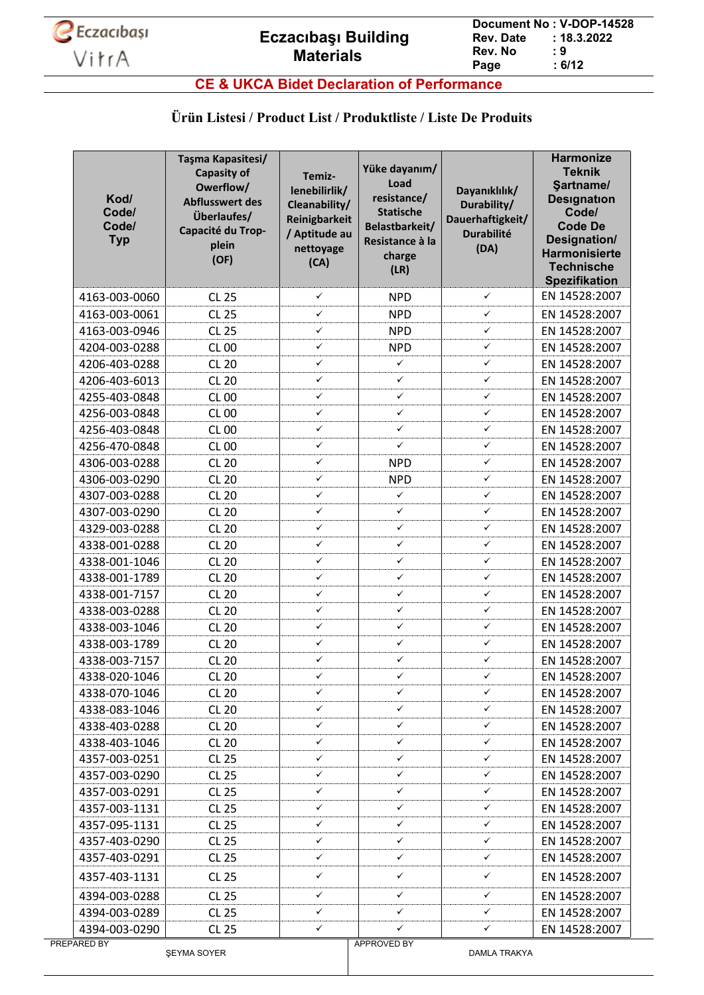

**CE & UKCA Bidet Declaration of Performance**

#### **Ürün Listesi / Product List / Produktliste / Liste De Produits**

| Kod/<br>Code/<br>Code/<br><b>Typ</b> | Taşma Kapasitesi/<br><b>Capasity of</b><br>Owerflow/<br><b>Abflusswert des</b><br>Überlaufes/<br>Capacité du Trop-<br>plein<br>(OF) | Temiz-<br>lenebilirlik/<br>Cleanability/<br>Reinigbarkeit<br>/ Aptitude au<br>nettoyage<br>(CA) | Yüke dayanım/<br>Load<br>resistance/<br><b>Statische</b><br>Belastbarkeit/<br>Resistance à la<br>charge<br>(LR) | Dayanıklılık/<br>Durability/<br>Dauerhaftigkeit/<br><b>Durabilité</b><br>(DA) | <b>Harmonize</b><br><b>Teknik</b><br>Sartname/<br><b>Designation</b><br>Code/<br><b>Code De</b><br>Designation/<br>Harmonisierte<br><b>Technische</b><br><b>Spezifikation</b> |
|--------------------------------------|-------------------------------------------------------------------------------------------------------------------------------------|-------------------------------------------------------------------------------------------------|-----------------------------------------------------------------------------------------------------------------|-------------------------------------------------------------------------------|-------------------------------------------------------------------------------------------------------------------------------------------------------------------------------|
| 4163-003-0060                        | <b>CL 25</b>                                                                                                                        | $\checkmark$                                                                                    | <b>NPD</b>                                                                                                      | ✓                                                                             | EN 14528:2007                                                                                                                                                                 |
| 4163-003-0061                        | <b>CL 25</b>                                                                                                                        | ✓                                                                                               | <b>NPD</b>                                                                                                      | ✓                                                                             | EN 14528:2007                                                                                                                                                                 |
| 4163-003-0946                        | <b>CL 25</b>                                                                                                                        | $\checkmark$                                                                                    | <b>NPD</b>                                                                                                      | ✓                                                                             | EN 14528:2007                                                                                                                                                                 |
| 4204-003-0288                        | <b>CL 00</b>                                                                                                                        | $\checkmark$                                                                                    | <b>NPD</b>                                                                                                      | ✓                                                                             | EN 14528:2007                                                                                                                                                                 |
| 4206-403-0288                        | <b>CL 20</b>                                                                                                                        | $\checkmark$                                                                                    | ✓                                                                                                               | ✓                                                                             | EN 14528:2007                                                                                                                                                                 |
| 4206-403-6013                        | <b>CL 20</b>                                                                                                                        | $\checkmark$                                                                                    | ✓                                                                                                               | ✓                                                                             | EN 14528:2007                                                                                                                                                                 |
| 4255-403-0848                        | <b>CL 00</b>                                                                                                                        | ✓                                                                                               | ✓                                                                                                               | ✓                                                                             | EN 14528:2007                                                                                                                                                                 |
| 4256-003-0848                        | <b>CL 00</b>                                                                                                                        | ✓                                                                                               | ✓                                                                                                               | ✓                                                                             | EN 14528:2007                                                                                                                                                                 |
| 4256-403-0848                        | <b>CL 00</b>                                                                                                                        | $\checkmark$                                                                                    | ✓                                                                                                               | ✓                                                                             | EN 14528:2007                                                                                                                                                                 |
| 4256-470-0848                        | <b>CL 00</b>                                                                                                                        | $\checkmark$                                                                                    | ✓                                                                                                               | ✓                                                                             | EN 14528:2007                                                                                                                                                                 |
| 4306-003-0288                        | <b>CL 20</b>                                                                                                                        | ✓                                                                                               | <b>NPD</b>                                                                                                      | ✓                                                                             | EN 14528:2007                                                                                                                                                                 |
| 4306-003-0290                        | <b>CL 20</b>                                                                                                                        | $\checkmark$                                                                                    | <b>NPD</b>                                                                                                      | ✓                                                                             | EN 14528:2007                                                                                                                                                                 |
| 4307-003-0288                        | <b>CL 20</b>                                                                                                                        | ✓                                                                                               | $\checkmark$                                                                                                    | ✓                                                                             | EN 14528:2007                                                                                                                                                                 |
| 4307-003-0290                        | <b>CL 20</b>                                                                                                                        | $\checkmark$                                                                                    | $\checkmark$                                                                                                    | ✓                                                                             | EN 14528:2007                                                                                                                                                                 |
| 4329-003-0288                        | <b>CL 20</b>                                                                                                                        | $\checkmark$                                                                                    | $\checkmark$                                                                                                    | ✓                                                                             | EN 14528:2007                                                                                                                                                                 |
| 4338-001-0288                        | <b>CL 20</b>                                                                                                                        | $\checkmark$                                                                                    | ✓                                                                                                               | ✓                                                                             | EN 14528:2007                                                                                                                                                                 |
| 4338-001-1046                        | <b>CL 20</b>                                                                                                                        | $\checkmark$                                                                                    | ✓                                                                                                               | ✓                                                                             | EN 14528:2007                                                                                                                                                                 |
| 4338-001-1789                        | <b>CL 20</b>                                                                                                                        | $\checkmark$                                                                                    | ✓                                                                                                               | ✓                                                                             | EN 14528:2007                                                                                                                                                                 |
| 4338-001-7157                        | <b>CL 20</b>                                                                                                                        | ✓                                                                                               | ✓                                                                                                               | ✓                                                                             | EN 14528:2007                                                                                                                                                                 |
| 4338-003-0288                        | <b>CL 20</b>                                                                                                                        | $\checkmark$                                                                                    | ✓                                                                                                               | ✓                                                                             | EN 14528:2007                                                                                                                                                                 |
| 4338-003-1046                        | <b>CL 20</b>                                                                                                                        | $\checkmark$                                                                                    | ✓                                                                                                               | ✓                                                                             | EN 14528:2007                                                                                                                                                                 |
| 4338-003-1789                        | <b>CL 20</b>                                                                                                                        | $\checkmark$                                                                                    | $\checkmark$                                                                                                    | ✓                                                                             | EN 14528:2007                                                                                                                                                                 |
| 4338-003-7157                        | <b>CL 20</b>                                                                                                                        | $\checkmark$                                                                                    | ✓                                                                                                               | ✓                                                                             | EN 14528:2007                                                                                                                                                                 |
| 4338-020-1046                        | <b>CL 20</b>                                                                                                                        | $\checkmark$                                                                                    | ✓                                                                                                               | ✓                                                                             | EN 14528:2007                                                                                                                                                                 |
| 4338-070-1046                        | <b>CL 20</b>                                                                                                                        | ✓                                                                                               | ✓                                                                                                               | ✓                                                                             | EN 14528:2007                                                                                                                                                                 |
| 4338-083-1046                        | <b>CL 20</b>                                                                                                                        | $\checkmark$                                                                                    | $\checkmark$                                                                                                    | ✓                                                                             | EN 14528:2007                                                                                                                                                                 |
| 4338-403-0288                        | <b>CL 20</b>                                                                                                                        | $\checkmark$                                                                                    | ✓                                                                                                               | ✓                                                                             | EN 14528:2007                                                                                                                                                                 |
| 4338-403-1046                        | <b>CL 20</b>                                                                                                                        | ✓                                                                                               | ✓                                                                                                               | ✓                                                                             | EN 14528:2007                                                                                                                                                                 |
| 4357-003-0251                        | CL 25                                                                                                                               | $\checkmark$                                                                                    | $\checkmark$                                                                                                    | ✓                                                                             | EN 14528:2007                                                                                                                                                                 |
| 4357-003-0290                        | <b>CL 25</b>                                                                                                                        | $\checkmark$                                                                                    | ✓                                                                                                               | ✓                                                                             | EN 14528:2007                                                                                                                                                                 |
| 4357-003-0291                        | <b>CL 25</b>                                                                                                                        | ✓                                                                                               | ✓                                                                                                               | ✓                                                                             | EN 14528:2007                                                                                                                                                                 |
| 4357-003-1131                        | <b>CL 25</b>                                                                                                                        | $\checkmark$                                                                                    | ✓                                                                                                               | ✓                                                                             | EN 14528:2007                                                                                                                                                                 |
| 4357-095-1131                        | <b>CL 25</b>                                                                                                                        | $\checkmark$                                                                                    | ✓                                                                                                               | ✓                                                                             | EN 14528:2007                                                                                                                                                                 |
| 4357-403-0290                        | CL 25                                                                                                                               | $\checkmark$                                                                                    | ✓                                                                                                               | ✓                                                                             | EN 14528:2007                                                                                                                                                                 |
| 4357-403-0291                        | <b>CL 25</b>                                                                                                                        | ✓                                                                                               | ✓                                                                                                               | ✓                                                                             | EN 14528:2007                                                                                                                                                                 |
| 4357-403-1131                        | <b>CL 25</b>                                                                                                                        | $\checkmark$                                                                                    | $\checkmark$                                                                                                    | ✓                                                                             | EN 14528:2007                                                                                                                                                                 |
| 4394-003-0288                        | <b>CL 25</b>                                                                                                                        | $\checkmark$                                                                                    | $\checkmark$                                                                                                    | ✓                                                                             | EN 14528:2007                                                                                                                                                                 |
| 4394-003-0289                        | CL 25                                                                                                                               | ✓                                                                                               | ✓                                                                                                               | ✓                                                                             | EN 14528:2007                                                                                                                                                                 |
| 4394-003-0290                        | <b>CL 25</b>                                                                                                                        | $\checkmark$                                                                                    | ✓                                                                                                               | ✓                                                                             | EN 14528:2007                                                                                                                                                                 |
| PREPARED BY                          |                                                                                                                                     |                                                                                                 | <b>APPROVED BY</b>                                                                                              |                                                                               |                                                                                                                                                                               |

ŞEYMA SOYER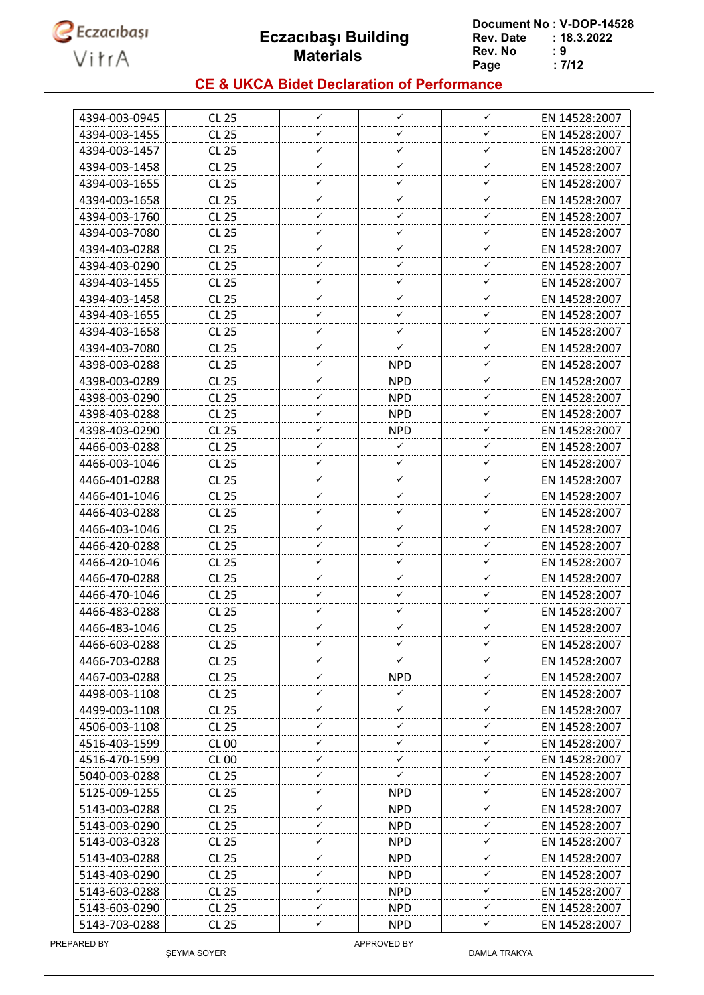

**Document No : V-DOP-14528**<br>Rev. Date : 18.3.2022  $: 18.3.2022$ <br> $: 9$ **Rev. No : 9<br>Page : 7/12** Page

### **CE & UKCA Bidet Declaration of Performance**

| 4394-003-0945 | <b>CL 25</b> | ✓            | ✓                  | $\checkmark$ | EN 14528:2007 |
|---------------|--------------|--------------|--------------------|--------------|---------------|
| 4394-003-1455 | <b>CL 25</b> | ✓            | ✓                  | ✓            | EN 14528:2007 |
| 4394-003-1457 | <b>CL 25</b> | ✓            | ✓                  | ✓            | EN 14528:2007 |
| 4394-003-1458 | <b>CL 25</b> | ✓            | ✓                  | ✓            | EN 14528:2007 |
| 4394-003-1655 | <b>CL 25</b> | ✓            | ✓                  | ✓            | EN 14528:2007 |
| 4394-003-1658 | <b>CL 25</b> | ✓            | ✓                  | ✓            | EN 14528:2007 |
| 4394-003-1760 | <b>CL 25</b> | ✓            | ✓                  | ✓            | EN 14528:2007 |
| 4394-003-7080 | <b>CL 25</b> | ✓            | ✓                  | ✓            | EN 14528:2007 |
| 4394-403-0288 | <b>CL 25</b> | ✓            | ✓                  | ✓            | EN 14528:2007 |
| 4394-403-0290 | <b>CL 25</b> | ✓            | ✓                  | ✓            | EN 14528:2007 |
| 4394-403-1455 | <b>CL 25</b> | ✓            | ✓                  | ✓            | EN 14528:2007 |
| 4394-403-1458 | <b>CL 25</b> | ✓            | ✓                  | ✓            | EN 14528:2007 |
| 4394-403-1655 | <b>CL 25</b> | ✓            | ✓                  | ✓            | EN 14528:2007 |
| 4394-403-1658 | <b>CL 25</b> | ✓            | ✓                  | ✓            | EN 14528:2007 |
| 4394-403-7080 | <b>CL 25</b> | ✓            | ✓                  | ✓            | EN 14528:2007 |
| 4398-003-0288 | <b>CL 25</b> | ✓            | <b>NPD</b>         | $\checkmark$ | EN 14528:2007 |
| 4398-003-0289 | <b>CL 25</b> | ✓            | <b>NPD</b>         | ✓            | EN 14528:2007 |
| 4398-003-0290 | <b>CL 25</b> | ✓            | <b>NPD</b>         | ✓            | EN 14528:2007 |
| 4398-403-0288 | <b>CL 25</b> | ✓            | <b>NPD</b>         | ✓            | EN 14528:2007 |
| 4398-403-0290 | <b>CL 25</b> | ✓            | <b>NPD</b>         | ✓            | EN 14528:2007 |
| 4466-003-0288 | <b>CL 25</b> | ✓            | ✓                  | ✓            | EN 14528:2007 |
| 4466-003-1046 | <b>CL 25</b> | ✓            | ✓                  | $\checkmark$ | EN 14528:2007 |
| 4466-401-0288 | <b>CL 25</b> | ✓            | ✓                  | ✓            | EN 14528:2007 |
| 4466-401-1046 | <b>CL 25</b> | ✓            | ✓                  | ✓            | EN 14528:2007 |
| 4466-403-0288 | <b>CL 25</b> | ✓            | ✓                  | ✓            | EN 14528:2007 |
| 4466-403-1046 | <b>CL 25</b> | ✓            | ✓                  | ✓            | EN 14528:2007 |
| 4466-420-0288 | <b>CL 25</b> | ✓            | ✓                  | ✓            | EN 14528:2007 |
| 4466-420-1046 | <b>CL 25</b> | ✓            | ✓                  | ✓            | EN 14528:2007 |
| 4466-470-0288 | <b>CL 25</b> | ✓            | ✓                  | ✓            | EN 14528:2007 |
| 4466-470-1046 | <b>CL 25</b> | ✓            | ✓                  | ✓            | EN 14528:2007 |
| 4466-483-0288 | <b>CL 25</b> | ✓            | ✓                  | ✓            | EN 14528:2007 |
| 4466-483-1046 | CL 25        | ✓            | ✓                  | ✓            | EN 14528:2007 |
| 4466-603-0288 | <b>CL 25</b> | ✓            | ✓                  | $\checkmark$ | EN 14528:2007 |
| 4466-703-0288 | CL 25        | ✓            | ✓                  | ✓            | EN 14528:2007 |
| 4467-003-0288 | CL 25        | ✓            | NPD.               | ✓            | EN 14528:2007 |
| 4498-003-1108 | <b>CL 25</b> | ✓            | ✓                  | ✓            | EN 14528:2007 |
| 4499-003-1108 | CL 25        | ✓            | ✓                  | ✓            | EN 14528:2007 |
| 4506-003-1108 | <b>CL 25</b> | ✓            | ✓                  | ✓            | EN 14528:2007 |
| 4516-403-1599 | <b>CL 00</b> | ✓            | ✓                  | ✓            | EN 14528:2007 |
| 4516-470-1599 | <b>CL 00</b> | ✓            | ✓                  | ✓            | EN 14528:2007 |
| 5040-003-0288 | CL 25        | ✓            | ✓                  | ✓            | EN 14528:2007 |
| 5125-009-1255 | <b>CL 25</b> | ✓            | <b>NPD</b>         | ✓            | EN 14528:2007 |
| 5143-003-0288 | CL 25        | ✓            | <b>NPD</b>         | ✓            | EN 14528:2007 |
| 5143-003-0290 | CL 25        | ✓            | <b>NPD</b>         | $\checkmark$ | EN 14528:2007 |
| 5143-003-0328 | <b>CL 25</b> | ✓            | <b>NPD</b>         | ✓            | EN 14528:2007 |
| 5143-403-0288 | CL 25        | ✓            | <b>NPD</b>         | ✓            | EN 14528:2007 |
| 5143-403-0290 | CL 25        | ✓            | NPD.               | $\checkmark$ | EN 14528:2007 |
| 5143-603-0288 | <b>CL 25</b> | ✓            | <b>NPD</b>         | $\checkmark$ | EN 14528:2007 |
| 5143-603-0290 | CL 25        | ✓            | <b>NPD</b>         | ✓            | EN 14528:2007 |
| 5143-703-0288 | <b>CL 25</b> | $\checkmark$ | NPD                | $\checkmark$ | EN 14528:2007 |
| PREPARED BY   |              |              | <b>APPROVED BY</b> |              |               |

ŞEYMA SOYER

APPROVED BY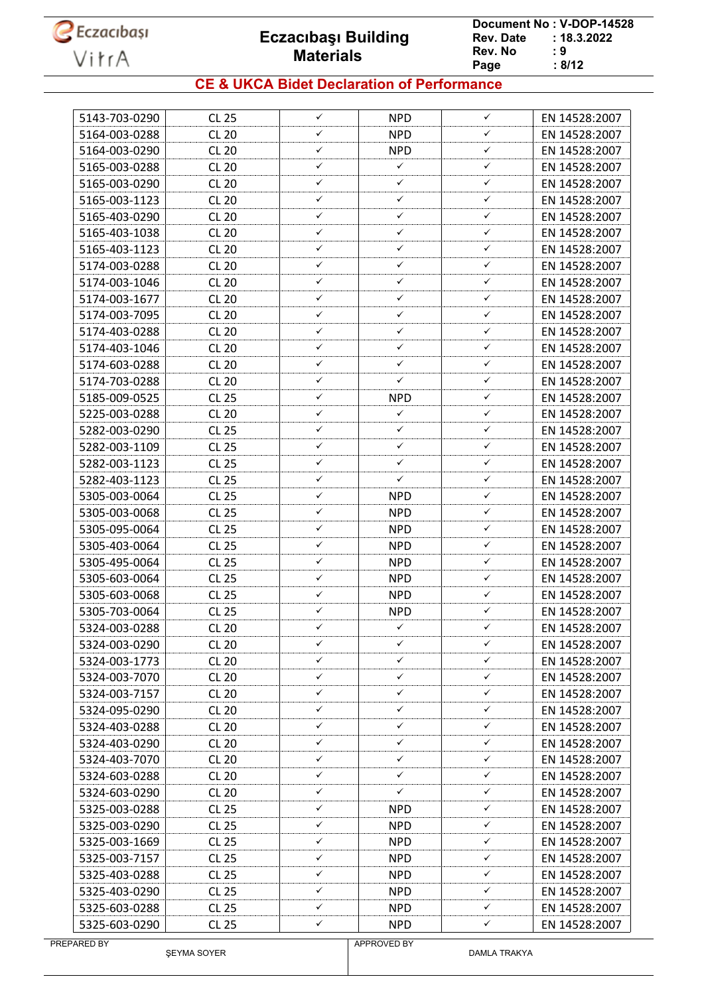

**Document No : V-DOP-14528**<br>Rev. Date : 18.3.2022  $: 18.3.2022$ <br> $: 9$ **Rev. No : 9<br>Page : 8/12** Page

#### **CE & UKCA Bidet Declaration of Performance**

| 5143-703-0290 | <b>CL 25</b> | $\checkmark$ | <b>NPD</b> | $\checkmark$      | EN 14528:2007 |
|---------------|--------------|--------------|------------|-------------------|---------------|
| 5164-003-0288 | <b>CL 20</b> | ✓            | <b>NPD</b> | ✓                 | EN 14528:2007 |
| 5164-003-0290 | <b>CL 20</b> | ✓            | <b>NPD</b> | ✓                 | EN 14528:2007 |
| 5165-003-0288 | <b>CL 20</b> | ✓            | ✓          | ✓                 | EN 14528:2007 |
| 5165-003-0290 | <b>CL 20</b> | ✓            | ✓          | ✓                 | EN 14528:2007 |
| 5165-003-1123 | <b>CL 20</b> | ✓            | ✓          | ✓                 | EN 14528:2007 |
| 5165-403-0290 | <b>CL 20</b> | ✓            | ✓          | ✓                 | EN 14528:2007 |
| 5165-403-1038 | <b>CL 20</b> | ✓            | ✓          | ✓                 | EN 14528:2007 |
| 5165-403-1123 | <b>CL 20</b> | ✓            | ✓          | ✓                 | EN 14528:2007 |
| 5174-003-0288 | <b>CL 20</b> | ✓            | ✓          | ✓                 | EN 14528:2007 |
| 5174-003-1046 | <b>CL 20</b> | ✓            | ✓          | ✓                 | EN 14528:2007 |
| 5174-003-1677 | <b>CL 20</b> | ✓            | ✓          | ✓                 | EN 14528:2007 |
| 5174-003-7095 | <b>CL 20</b> | ✓            | ✓          | ✓                 | EN 14528:2007 |
| 5174-403-0288 | <b>CL 20</b> | ✓            | ✓          | ✓                 | EN 14528:2007 |
| 5174-403-1046 | <b>CL 20</b> | ✓            | ✓          | ✓                 | EN 14528:2007 |
| 5174-603-0288 | <b>CL 20</b> | ✓            | ✓          | ✓                 | EN 14528:2007 |
| 5174-703-0288 | <b>CL 20</b> | ✓            | ✓          | ✓                 | EN 14528:2007 |
| 5185-009-0525 | <b>CL 25</b> | ✓            | <b>NPD</b> | ✓                 | EN 14528:2007 |
| 5225-003-0288 | <b>CL 20</b> | ✓            | ✓          | ✓                 | EN 14528:2007 |
| 5282-003-0290 | <b>CL 25</b> | ✓            | ✓          | ✓                 | EN 14528:2007 |
| 5282-003-1109 | <b>CL 25</b> | ✓            | ✓          | ✓                 | EN 14528:2007 |
| 5282-003-1123 | <b>CL 25</b> | ✓            | ✓          | ✓                 | EN 14528:2007 |
| 5282-403-1123 | <b>CL 25</b> | ✓            | ✓          | ✓                 | EN 14528:2007 |
|               |              | ✓            |            | ✓                 |               |
| 5305-003-0064 | <b>CL 25</b> | ✓            | <b>NPD</b> | ✓                 | EN 14528:2007 |
| 5305-003-0068 | <b>CL 25</b> | ✓            | <b>NPD</b> |                   | EN 14528:2007 |
| 5305-095-0064 | <b>CL 25</b> | ✓            | <b>NPD</b> | ✓                 | EN 14528:2007 |
| 5305-403-0064 | <b>CL 25</b> |              | <b>NPD</b> | ✓                 | EN 14528:2007 |
| 5305-495-0064 | <b>CL 25</b> | ✓<br>✓       | <b>NPD</b> | $\checkmark$<br>✓ | EN 14528:2007 |
| 5305-603-0064 | <b>CL 25</b> |              | <b>NPD</b> |                   | EN 14528:2007 |
| 5305-603-0068 | <b>CL 25</b> | ✓            | <b>NPD</b> | ✓                 | EN 14528:2007 |
| 5305-703-0064 | <b>CL 25</b> | ✓            | <b>NPD</b> | ✓                 | EN 14528:2007 |
| 5324-003-0288 | <b>CL 20</b> | ✓            | ✓          | ✓                 | EN 14528:2007 |
| 5324-003-0290 | <b>CL 20</b> | ✓            | ✓          | ✓                 | EN 14528:2007 |
| 5324-003-1773 | <b>CL 20</b> | ✓            | ✓          | ✓                 | EN 14528:2007 |
| 5324-003-7070 | <b>CL 20</b> | ✓            | ✓          | ✓                 | EN 14528:2007 |
| 5324-003-7157 | <b>CL 20</b> | ✓            | ✓          | ✓                 | EN 14528:2007 |
| 5324-095-0290 | <b>CL 20</b> | ✓            | ✓          | $\checkmark$      | EN 14528:2007 |
| 5324-403-0288 | <b>CL 20</b> | ✓            | ✓          | ✓                 | EN 14528:2007 |
| 5324-403-0290 | <b>CL 20</b> | ✓            | ✓          | ✓                 | EN 14528:2007 |
| 5324-403-7070 |              |              |            |                   |               |
|               | <b>CL 20</b> | ✓            | ✓          | ✓                 | EN 14528:2007 |
| 5324-603-0288 | <b>CL 20</b> | ✓            | ✓          | $\checkmark$      | EN 14528:2007 |
| 5324-603-0290 | <b>CL 20</b> | ✓            | ✓          | ✓                 | EN 14528:2007 |
| 5325-003-0288 | <b>CL 25</b> | ✓            | NPD        | ✓                 | EN 14528:2007 |
| 5325-003-0290 | CL 25        | ✓            | NPD.       | ✓                 | EN 14528:2007 |
| 5325-003-1669 | <b>CL 25</b> | ✓            | <b>NPD</b> | ✓                 | EN 14528:2007 |
| 5325-003-7157 | CL 25        | ✓            | <b>NPD</b> | ✓                 | EN 14528:2007 |
| 5325-403-0288 | CL 25        | ✓            | NPD.       | ✓                 | EN 14528:2007 |
| 5325-403-0290 | <b>CL 25</b> | ✓            | NPD.       | ✓                 | EN 14528:2007 |
| 5325-603-0288 | CL 25        | ✓            | <b>NPD</b> | ✓                 | EN 14528:2007 |

ŞEYMA SOYER

APPROVED BY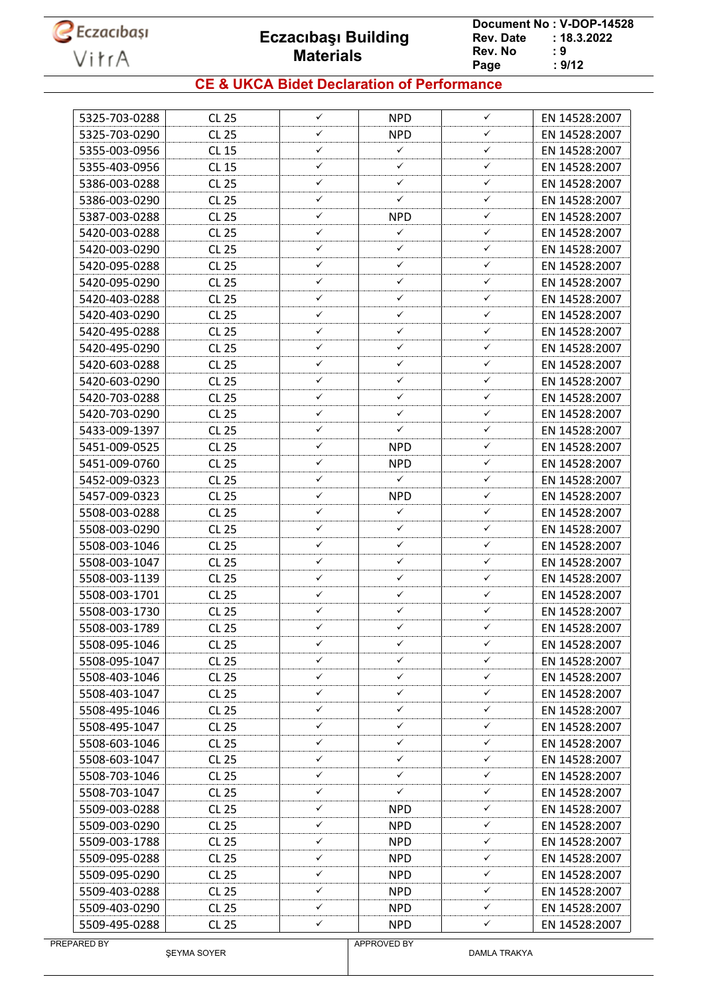

**Document No : V-DOP-14528**<br>Rev. Date : 18.3.2022  $: 18.3.2022$ <br> $: 9$ **Rev. No : 9<br>Page : 9/12** Page

#### **CE & UKCA Bidet Declaration of Performance**

| 5325-703-0288 | <b>CL 25</b> | ✓ | <b>NPD</b>   | $\checkmark$ | EN 14528:2007 |
|---------------|--------------|---|--------------|--------------|---------------|
| 5325-703-0290 | <b>CL 25</b> | ✓ | <b>NPD</b>   | ✓            | EN 14528:2007 |
| 5355-003-0956 | <b>CL 15</b> | ✓ | ✓            | $\checkmark$ | EN 14528:2007 |
| 5355-403-0956 | <b>CL 15</b> | ✓ | ✓            | ✓            | EN 14528:2007 |
| 5386-003-0288 | <b>CL 25</b> | ✓ | ✓            | ✓            | EN 14528:2007 |
| 5386-003-0290 | <b>CL 25</b> | ✓ | ✓            | ✓            | EN 14528:2007 |
| 5387-003-0288 | <b>CL 25</b> | ✓ | <b>NPD</b>   | ✓            | EN 14528:2007 |
| 5420-003-0288 | <b>CL 25</b> | ✓ | ✓            | ✓            | EN 14528:2007 |
| 5420-003-0290 | <b>CL 25</b> | ✓ | ✓            | ✓            | EN 14528:2007 |
| 5420-095-0288 | <b>CL 25</b> | ✓ | ✓            | ✓            | EN 14528:2007 |
| 5420-095-0290 | <b>CL 25</b> | ✓ | ✓            | ✓            | EN 14528:2007 |
| 5420-403-0288 | <b>CL 25</b> | ✓ | ✓            | ✓            | EN 14528:2007 |
| 5420-403-0290 | <b>CL 25</b> | ✓ | ✓            | ✓            | EN 14528:2007 |
| 5420-495-0288 | <b>CL 25</b> | ✓ | ✓            | ✓            | EN 14528:2007 |
| 5420-495-0290 | <b>CL 25</b> | ✓ | ✓            | ✓            | EN 14528:2007 |
| 5420-603-0288 | <b>CL 25</b> | ✓ | ✓            | ✓            | EN 14528:2007 |
| 5420-603-0290 | <b>CL 25</b> | ✓ | ✓            | ✓            | EN 14528:2007 |
| 5420-703-0288 | <b>CL 25</b> | ✓ | ✓            | ✓            | EN 14528:2007 |
| 5420-703-0290 | <b>CL 25</b> | ✓ | ✓            | ✓            | EN 14528:2007 |
| 5433-009-1397 | <b>CL 25</b> | ✓ | ✓            | ✓            | EN 14528:2007 |
| 5451-009-0525 | <b>CL 25</b> | ✓ | <b>NPD</b>   | ✓            | EN 14528:2007 |
| 5451-009-0760 | <b>CL 25</b> | ✓ | <b>NPD</b>   | ✓            | EN 14528:2007 |
| 5452-009-0323 | <b>CL 25</b> | ✓ | $\checkmark$ | ✓            | EN 14528:2007 |
| 5457-009-0323 | <b>CL 25</b> | ✓ | <b>NPD</b>   | ✓            | EN 14528:2007 |
| 5508-003-0288 | <b>CL 25</b> | ✓ | ✓            | ✓            | EN 14528:2007 |
| 5508-003-0290 | <b>CL 25</b> | ✓ | ✓            | ✓            | EN 14528:2007 |
| 5508-003-1046 | <b>CL 25</b> | ✓ | ✓            | ✓            | EN 14528:2007 |
| 5508-003-1047 | <b>CL 25</b> | ✓ | ✓            | $\checkmark$ | EN 14528:2007 |
| 5508-003-1139 | <b>CL 25</b> | ✓ | ✓            | ✓            | EN 14528:2007 |
| 5508-003-1701 | <b>CL 25</b> | ✓ | ✓            | ✓            | EN 14528:2007 |
| 5508-003-1730 | <b>CL 25</b> | ✓ | ✓            | $\checkmark$ | EN 14528:2007 |
| 5508-003-1789 | <b>CL 25</b> | ✓ | ✓            | ✓            | EN 14528:2007 |
| 5508-095-1046 | <b>CL 25</b> | ✓ | ✓            | ✓            | EN 14528:2007 |
| 5508-095-1047 | CL 25        | ✓ | ✓            | ✓            | EN 14528:2007 |
| 5508-403-1046 | <b>CL 25</b> | ✓ | ✓            | ✓            | EN 14528:2007 |
| 5508-403-1047 | <b>CL 25</b> | ✓ | ✓            | ✓            | EN 14528:2007 |
| 5508-495-1046 | CL 25        | ✓ | ✓            | $\checkmark$ | EN 14528:2007 |
| 5508-495-1047 | <b>CL 25</b> | ✓ | ✓            | ✓            | EN 14528:2007 |
| 5508-603-1046 | CL 25        | ✓ | ✓            | ✓            | EN 14528:2007 |
| 5508-603-1047 | CL 25        | ✓ | ✓            | ✓            | EN 14528:2007 |
| 5508-703-1046 | <b>CL 25</b> | ✓ | ✓            | $\checkmark$ | EN 14528:2007 |
| 5508-703-1047 | CL 25        | ✓ | ✓            | ✓            | EN 14528:2007 |
| 5509-003-0288 | <b>CL 25</b> | ✓ | NPD.         | ✓            | EN 14528:2007 |
| 5509-003-0290 | CL 25        | ✓ | NPD.         | ✓            | EN 14528:2007 |
| 5509-003-1788 | CL 25        | ✓ | <b>NPD</b>   | ✓            | EN 14528:2007 |
| 5509-095-0288 | CL 25        | ✓ | <b>NPD</b>   | ✓            | EN 14528:2007 |
| 5509-095-0290 | CL 25        | ✓ | NPD.         | ✓            | EN 14528:2007 |
| 5509-403-0288 | <b>CL 25</b> | ✓ | NPD.         | ✓            | EN 14528:2007 |
| 5509-403-0290 | CL 25        | ✓ | <b>NPD</b>   | ✓            | EN 14528:2007 |
| 5509-495-0288 | CL 25        | ✓ | NPD          | ✓            | EN 14528:2007 |
|               |              |   | APPROVED BY  |              |               |

ŞEYMA SOYER

DAMLA TRAKYA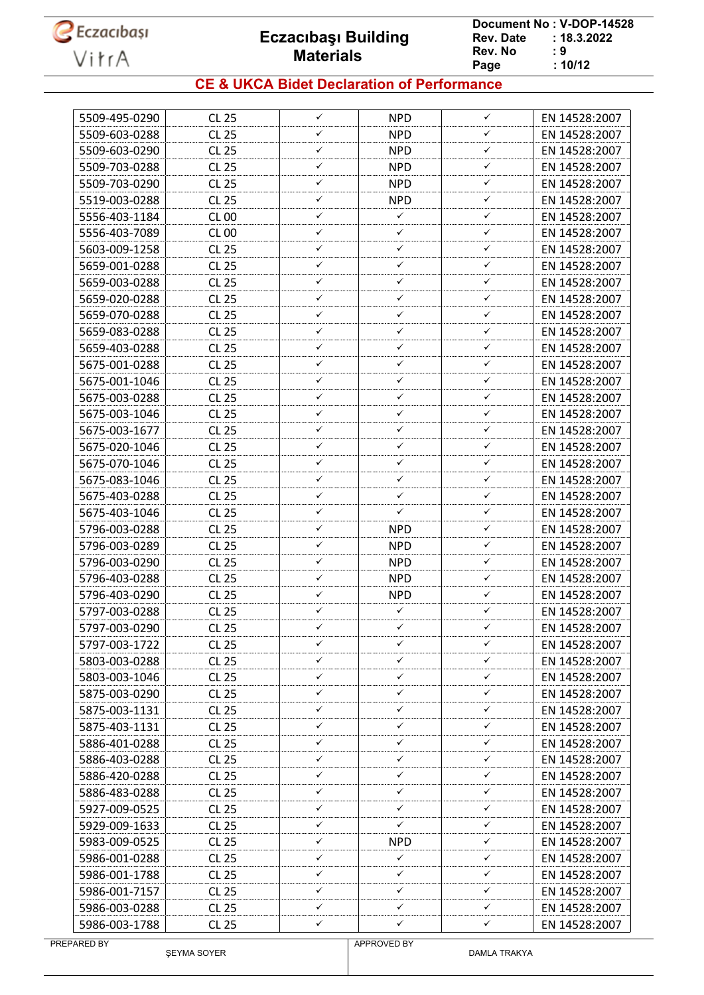

**Document No : V-DOP-14528**<br>Rev. Date : 18.3.2022  $: 18.3.2022$ <br> $: 9$ **Rev. No Page Page : 10/12**

#### **CE & UKCA Bidet Declaration of Performance**

| 5509-495-0290 | <b>CL 25</b>          | $\checkmark$ | <b>NPD</b>      | $\checkmark$ | EN 14528:2007                  |
|---------------|-----------------------|--------------|-----------------|--------------|--------------------------------|
| 5509-603-0288 | <b>CL 25</b>          | ✓            | <b>NPD</b>      | ✓            | EN 14528:2007                  |
| 5509-603-0290 | <b>CL 25</b>          | ✓            | <b>NPD</b>      | ✓            | EN 14528:2007                  |
| 5509-703-0288 | <b>CL 25</b>          | ✓            | <b>NPD</b>      | ✓            | EN 14528:2007                  |
| 5509-703-0290 | <b>CL 25</b>          | ✓            | <b>NPD</b>      | ✓            | EN 14528:2007                  |
| 5519-003-0288 | <b>CL 25</b>          | ✓            | <b>NPD</b>      | ✓            | EN 14528:2007                  |
| 5556-403-1184 | <b>CL 00</b>          | ✓            | ✓               | ✓            | EN 14528:2007                  |
| 5556-403-7089 | <b>CL 00</b>          | ✓            | ✓               | ✓            | EN 14528:2007                  |
| 5603-009-1258 | <b>CL 25</b>          | ✓            | ✓               | ✓            | EN 14528:2007                  |
| 5659-001-0288 | <b>CL 25</b>          | ✓            | ✓               | ✓            | EN 14528:2007                  |
| 5659-003-0288 | <b>CL 25</b>          | ✓            | ✓               | ✓            | EN 14528:2007                  |
| 5659-020-0288 | <b>CL 25</b>          | ✓            | ✓               | ✓            | EN 14528:2007                  |
| 5659-070-0288 | <b>CL 25</b>          | ✓            | ✓               | ✓            | EN 14528:2007                  |
| 5659-083-0288 | <b>CL 25</b>          | ✓            | ✓               | ✓            | EN 14528:2007                  |
| 5659-403-0288 | <b>CL 25</b>          | ✓            | ✓               | ✓            | EN 14528:2007                  |
| 5675-001-0288 | <b>CL 25</b>          | ✓            | ✓               | ✓            | EN 14528:2007                  |
| 5675-001-1046 | <b>CL 25</b>          | ✓            | ✓               | ✓            | EN 14528:2007                  |
| 5675-003-0288 | <b>CL 25</b>          | ✓            | ✓               | ✓            | EN 14528:2007                  |
| 5675-003-1046 | <b>CL 25</b>          | ✓            | ✓               | ✓            | EN 14528:2007                  |
| 5675-003-1677 | <b>CL 25</b>          | ✓            | ✓               | ✓            | EN 14528:2007                  |
| 5675-020-1046 | <b>CL 25</b>          | ✓            | ✓               | ✓            | EN 14528:2007                  |
| 5675-070-1046 | <b>CL 25</b>          | ✓            | ✓               | ✓            | EN 14528:2007                  |
| 5675-083-1046 | <b>CL 25</b>          | ✓            | ✓               | ✓            | EN 14528:2007                  |
| 5675-403-0288 | <b>CL 25</b>          | ✓            | ✓               | ✓            | EN 14528:2007                  |
| 5675-403-1046 | <b>CL 25</b>          | ✓            | ✓               | ✓            | EN 14528:2007                  |
| 5796-003-0288 | <b>CL 25</b>          | ✓            | <b>NPD</b>      | ✓            | EN 14528:2007                  |
| 5796-003-0289 | <b>CL 25</b>          | ✓            | <b>NPD</b>      | ✓            | EN 14528:2007                  |
| 5796-003-0290 | <b>CL 25</b>          | ✓            | <b>NPD</b>      | $\checkmark$ | EN 14528:2007                  |
| 5796-403-0288 | <b>CL 25</b>          | ✓            | <b>NPD</b>      | ✓            | EN 14528:2007                  |
| 5796-403-0290 | <b>CL 25</b>          | ✓            | <b>NPD</b>      | ✓            | EN 14528:2007                  |
| 5797-003-0288 | <b>CL 25</b>          | ✓            | $\checkmark$    | ✓            | EN 14528:2007                  |
| 5797-003-0290 | <b>CL 25</b>          | ✓            | ✓               | ✓            | EN 14528:2007                  |
| 5797-003-1722 | <b>CL 25</b>          | ✓            | ✓               | ✓            | EN 14528:2007                  |
| 5803-003-0288 | <b>CL 25</b>          | ✓            | ✓               | ✓            | EN 14528:2007                  |
| 5803-003-1046 | <b>CL 25</b>          | ✓            | ✓               | ✓            | EN 14528:2007                  |
| 5875-003-0290 | <b>CL 25</b>          | ✓            | ✓               | ✓            | EN 14528:2007                  |
| 5875-003-1131 | CL 25                 | ✓            | ✓               | ✓            | EN 14528:2007                  |
| 5875-403-1131 | <b>CL 25</b>          | ✓            | ✓               | ✓            | EN 14528:2007                  |
| 5886-401-0288 | CL 25                 | ✓            | ✓               | ✓            | EN 14528:2007                  |
| 5886-403-0288 | CL 25                 | ✓            | ✓               | ✓            | EN 14528:2007                  |
| 5886-420-0288 | <b>CL 25</b>          | ✓            | ✓               | ✓            | EN 14528:2007                  |
| 5886-483-0288 | CL 25                 | ✓            | ✓               | ✓            | EN 14528:2007                  |
| 5927-009-0525 | <b>CL 25</b>          | ✓            | ✓               | ✓            | EN 14528:2007                  |
|               |                       | ✓            | ✓               | ✓            |                                |
| 5929-009-1633 | CL 25<br><b>CL 25</b> | ✓            |                 | ✓            | EN 14528:2007<br>EN 14528:2007 |
| 5983-009-0525 |                       | ✓            | <b>NPD</b><br>✓ | ✓            |                                |
| 5986-001-0288 | CL 25                 | ✓            | ✓               | ✓            | EN 14528:2007                  |
| 5986-001-1788 | CL 25                 | ✓            | ✓               | ✓            | EN 14528:2007                  |
| 5986-001-7157 | <b>CL 25</b>          | ✓            | ✓               | ✓            | EN 14528:2007                  |
| 5986-003-0288 | CL 25                 | ✓            | ✓               |              | EN 14528:2007                  |
| 5986-003-1788 | CL 25                 |              |                 | ✓            | EN 14528:2007                  |

ŞEYMA SOYER

APPROVED BY

DAMLA TRAKYA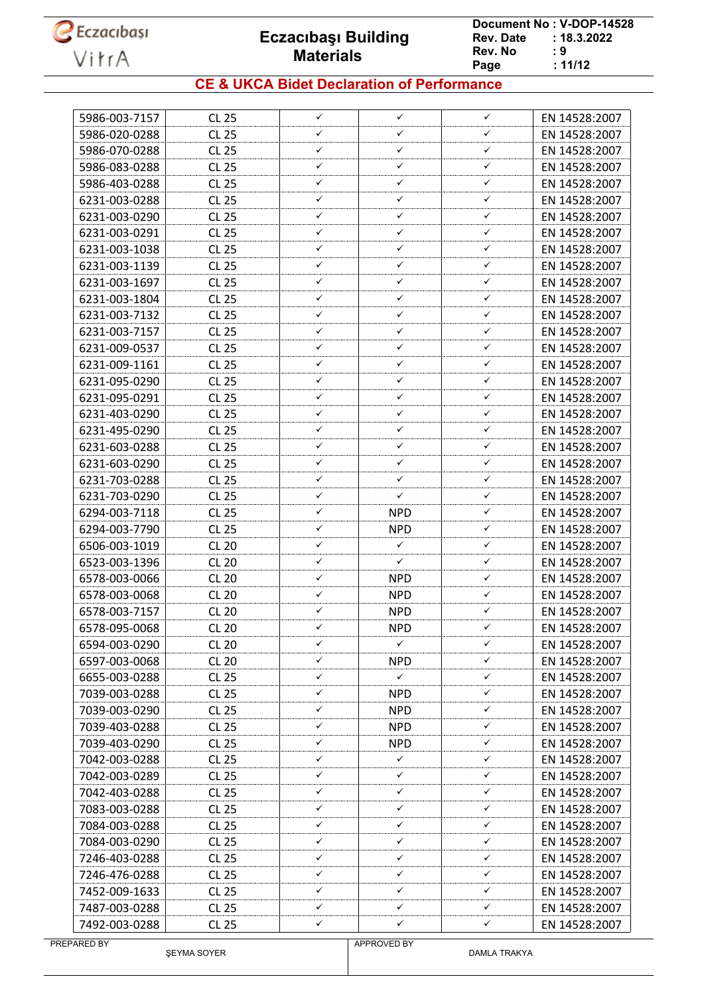

**Document No : V-DOP-14528**<br>Rev. Date : 18.3.2022  $: 18.3.2022$ <br> $: 9$ **Rev. No Page Page : 11/12**

### **CE & UKCA Bidet Declaration of Performance**

| 5986-003-7157 | <b>CL 25</b> | ✓ | ✓            | ✓            | EN 14528:2007 |
|---------------|--------------|---|--------------|--------------|---------------|
| 5986-020-0288 | <b>CL 25</b> | ✓ | ✓            | ✓            | EN 14528:2007 |
| 5986-070-0288 | <b>CL 25</b> | ✓ | ✓            | $\checkmark$ | EN 14528:2007 |
| 5986-083-0288 | <b>CL 25</b> | ✓ | $\checkmark$ | $\checkmark$ | EN 14528:2007 |
| 5986-403-0288 | <b>CL 25</b> | ✓ | ✓            | ✓            | EN 14528:2007 |
| 6231-003-0288 | CL 25        | ✓ | ✓            | ✓            | EN 14528:2007 |
| 6231-003-0290 | <b>CL 25</b> | ✓ | ✓            | $\checkmark$ | EN 14528:2007 |
| 6231-003-0291 | <b>CL 25</b> | ✓ | ✓            | $\checkmark$ | EN 14528:2007 |
| 6231-003-1038 | <b>CL 25</b> | ✓ | ✓            | ✓            | EN 14528:2007 |
| 6231-003-1139 | CL 25        | ✓ | ✓            | ✓            | EN 14528:2007 |
| 6231-003-1697 | <b>CL 25</b> | ✓ | ✓            | $\checkmark$ | EN 14528:2007 |
| 6231-003-1804 | <b>CL 25</b> | ✓ | ✓            | ✓            | EN 14528:2007 |
| 6231-003-7132 | CL 25        | ✓ | $\checkmark$ | $\checkmark$ | EN 14528:2007 |
| 6231-003-7157 | <b>CL 25</b> | ✓ | ✓            | $\checkmark$ | EN 14528:2007 |
| 6231-009-0537 | <b>CL 25</b> | ✓ | ✓            | ✓            | EN 14528:2007 |
| 6231-009-1161 | CL 25        | ✓ | ✓            | ✓            | EN 14528:2007 |
| 6231-095-0290 | <b>CL 25</b> | ✓ | ✓            | ✓            | EN 14528:2007 |
| 6231-095-0291 | <b>CL 25</b> | ✓ | ✓            | ✓            | EN 14528:2007 |
| 6231-403-0290 | CL 25        | ✓ | ✓            | ✓            | EN 14528:2007 |
| 6231-495-0290 | <b>CL 25</b> | ✓ | ✓            | ✓            | EN 14528:2007 |
| 6231-603-0288 | <b>CL 25</b> | ✓ | ✓            | ✓            | EN 14528:2007 |
| 6231-603-0290 | <b>CL 25</b> | ✓ | ✓            | ✓            | EN 14528:2007 |
| 6231-703-0288 | <b>CL 25</b> | ✓ | $\checkmark$ | ✓            | EN 14528:2007 |
| 6231-703-0290 | <b>CL 25</b> | ✓ | ✓            | ✓            | EN 14528:2007 |
| 6294-003-7118 | CL 25        | ✓ | <b>NPD</b>   | $\checkmark$ | EN 14528:2007 |
| 6294-003-7790 | <b>CL 25</b> | ✓ | <b>NPD</b>   | ✓            | EN 14528:2007 |
| 6506-003-1019 | <b>CL 20</b> | ✓ | $\checkmark$ | ✓            | EN 14528:2007 |
| 6523-003-1396 | <b>CL 20</b> | ✓ | ✓            | ✓            | EN 14528:2007 |
| 6578-003-0066 | <b>CL 20</b> | ✓ | <b>NPD</b>   | ✓            | EN 14528:2007 |
| 6578-003-0068 | <b>CL 20</b> | ✓ | <b>NPD</b>   | ✓            | EN 14528:2007 |
| 6578-003-7157 | <b>CL 20</b> | ✓ | <b>NPD</b>   | ✓            | EN 14528:2007 |
| 6578-095-0068 | <b>CL 20</b> | ✓ | <b>NPD</b>   | $\checkmark$ | EN 14528:2007 |
| 6594-003-0290 | <b>CL 20</b> | ✓ | $\checkmark$ | ✓            | EN 14528:2007 |
| 6597-003-0068 | <b>CL 20</b> | ✓ | <b>NPD</b>   | ✓            | EN 14528:2007 |
| 6655-003-0288 | CL 25        | ✓ | $\checkmark$ | ✓            | EN 14528:2007 |
| 7039-003-0288 | <b>CL 25</b> | ✓ | <b>NPD</b>   | ✓            | EN 14528:2007 |
| 7039-003-0290 | <b>CL 25</b> | ✓ | <b>NPD</b>   | ✓            | EN 14528:2007 |
| 7039-403-0288 | CL 25        | ✓ | <b>NPD</b>   | ✓            | EN 14528:2007 |
| 7039-403-0290 | <b>CL 25</b> | ✓ | <b>NPD</b>   | $\checkmark$ | EN 14528:2007 |
| 7042-003-0288 | CL 25        | ✓ | ✓            | ✓            | EN 14528:2007 |
| 7042-003-0289 | CL 25        | ✓ | $\checkmark$ | $\checkmark$ | EN 14528:2007 |
| 7042-403-0288 | <b>CL 25</b> | ✓ | ✓            | ✓            | EN 14528:2007 |
| 7083-003-0288 | CL 25        | ✓ | ✓            | ✓            | EN 14528:2007 |
| 7084-003-0288 | CL 25        | ✓ | $\checkmark$ | ✓            | EN 14528:2007 |
| 7084-003-0290 | <b>CL 25</b> | ✓ | ✓            | ✓            | EN 14528:2007 |
| 7246-403-0288 | CL 25        | ✓ | ✓            | ✓            | EN 14528:2007 |
| 7246-476-0288 | CL 25        | ✓ | $\checkmark$ | ✓            | EN 14528:2007 |
| 7452-009-1633 | <b>CL 25</b> | ✓ | ✓            | ✓            | EN 14528:2007 |
| 7487-003-0288 | <b>CL 25</b> | ✓ | ✓            | $\checkmark$ | EN 14528:2007 |
| 7492-003-0288 | CL 25        | ✓ | ✓            | ✓            | EN 14528:2007 |
| PREPARED BY   |              |   | APPROVED BY  |              |               |

ŞEYMA SOYER

APPROVED BY

DAMLA TRAKYA